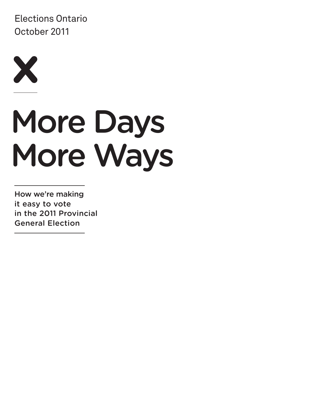Elections Ontario October 2011



# More Days More Ways

How we're making it easy to vote in the 2011 Provincial General Election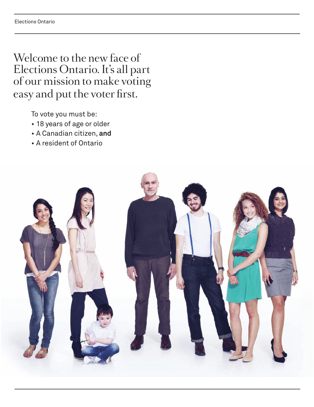Welcome to the new face of Elections Ontario. It's all part of our mission to make voting easy and put the voter first.

To vote you must be:

- • 18 years of age or older
- • A Canadian citizen, **and**
- • A resident of Ontario

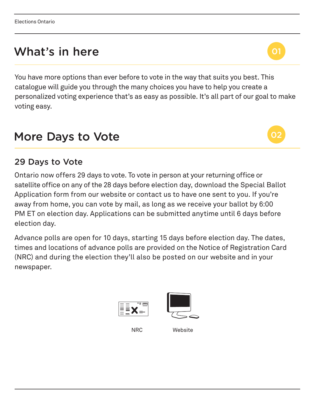# What's in here

You have more options than ever before to vote in the way that suits you best. This catalogue will guide you through the many choices you have to help you create a personalized voting experience that's as easy as possible. It's all part of our goal to make voting easy.

## More Days to Vote **1**

#### 29 Days to Vote **4 5**

Ontario now offers 29 days to vote. To vote in person at your returning office or **12 13 14** satellite office on any of the 28 days before election day, download the Special Ballot **15** Application form from our website or contact us to have one sent to you. If you're away from home, you can vote by mail, as long as we receive your ballot by 6:00 PM ET on election day. Applications can be submitted anytime until 6 days before election day.

Advance polls are open for 10 days, starting 15 days before election day. The dates, times and locations of advance polls are provided on the Notice of Registration Card (NRC) and during the election they'll also be posted on our website and in your newspaper.





NRC Website



01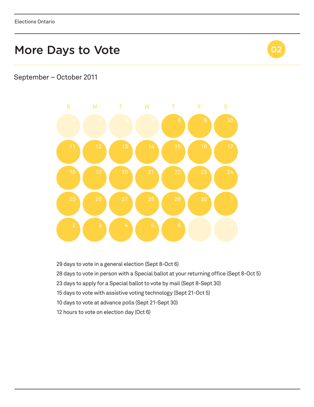

#### September – October 2011



days to vote in a general election (Sept 8-Oct 6)

- 28 days to vote in person with a Special ballot at your returning office (Sept 8-Oct 5)
- 23 days to apply for a Special ballot to vote by mail (Sept 8-Sept 30)
- days to vote with assistive voting technology (Sept 21-Oct 5)
- days to vote at advance polls (Sept 21-Sept 30)
- hours to vote on election day (Oct 6)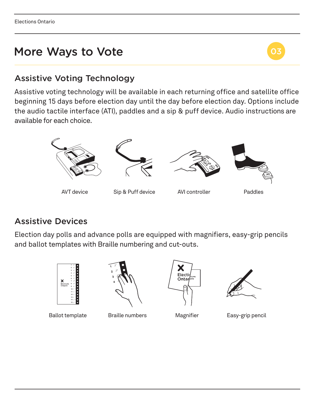

#### Assistive Voting Technology **8 9 10 5**

Assistive voting technology will be available in each returning office and satellite office **12 13 14** beginning 15 days before election day until the day before election day. Options include **15** the audio tactile interface (ATI), paddles and a sip & puff device. Audio instructions are **1 2**available for each choice.



Assistive Devices

Election day polls and advance polls are equipped with magnifiers, easy-grip pencils and ballot templates with Braille numbering and cut-outs.









Ballot template Braille numbers Magnifier Easy-grip pencil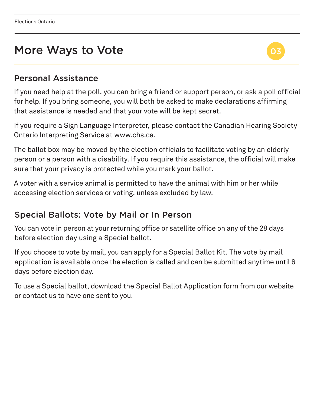

#### Personal Assistance

If you need help at the poll, you can bring a friend or support person, or ask a poll official for help. If you bring someone, you will both be asked to make declarations affirming that assistance is needed and that your vote will be kept secret.

If you require a Sign Language Interpreter, please contact the Canadian Hearing Society Ontario Interpreting Service at www.chs.ca.

The ballot box may be moved by the election officials to facilitate voting by an elderly person or a person with a disability. If you require this assistance, the official will make sure that your privacy is protected while you mark your ballot.

A voter with a service animal is permitted to have the animal with him or her while accessing election services or voting, unless excluded by law.

#### Special Ballots: Vote by Mail or In Person

You can vote in person at your returning office or satellite office on any of the 28 days before election day using a Special ballot.

If you choose to vote by mail, you can apply for a Special Ballot Kit. The vote by mail application is available once the election is called and can be submitted anytime until 6 days before election day.

To use a Special ballot, download the Special Ballot Application form from our website or contact us to have one sent to you.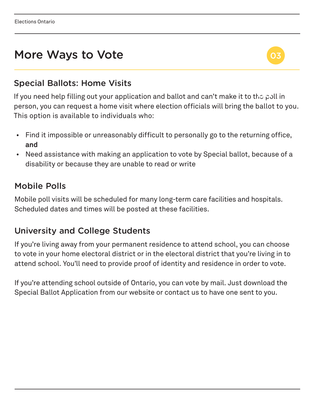

### Special Ballots: Home Visits

If you need help filling out your application and ballot and can't make it to the poll in person, you can request a home visit where election officials will bring the ballot to you. This option is available to individuals who:

- Find it impossible or unreasonably difficult to personally go to the returning office, **and**
- Need assistance with making an application to vote by Special ballot, because of a disability or because they are unable to read or write

### Mobile Polls

Mobile poll visits will be scheduled for many long-term care facilities and hospitals. Scheduled dates and times will be posted at these facilities.

#### University and College Students

If you're living away from your permanent residence to attend school, you can choose to vote in your home electoral district or in the electoral district that you're living in to attend school. You'll need to provide proof of identity and residence in order to vote.

If you're attending school outside of Ontario, you can vote by mail. Just download the Special Ballot Application from our website or contact us to have one sent to you.